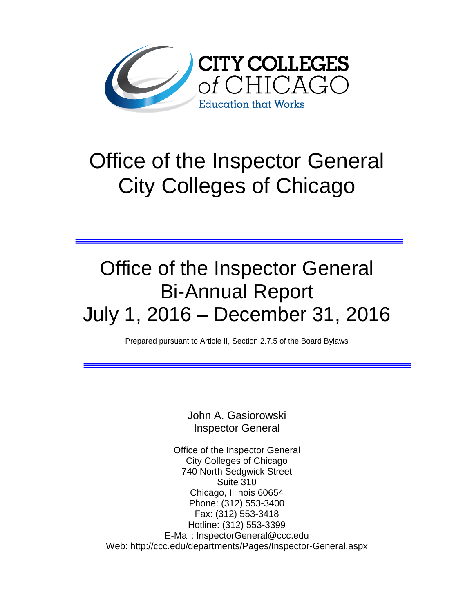

# Office of the Inspector General City Colleges of Chicago

# Office of the Inspector General Bi-Annual Report July 1, 2016 – December 31, 2016

Prepared pursuant to Article II, Section 2.7.5 of the Board Bylaws

John A. Gasiorowski Inspector General

Office of the Inspector General City Colleges of Chicago 740 North Sedgwick Street Suite 310 Chicago, Illinois 60654 Phone: (312) 553-3400 Fax: (312) 553-3418 Hotline: (312) 553-3399 E-Mail: [InspectorGeneral@ccc.edu](mailto:InspectorGeneral@ccc.edu) Web: http://ccc.edu/departments/Pages/Inspector-General.aspx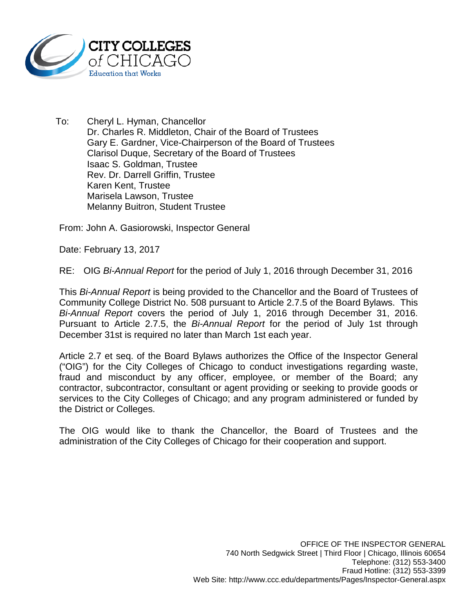

To: Cheryl L. Hyman, Chancellor Dr. Charles R. Middleton, Chair of the Board of Trustees Gary E. Gardner, Vice-Chairperson of the Board of Trustees Clarisol Duque, Secretary of the Board of Trustees Isaac S. Goldman, Trustee Rev. Dr. Darrell Griffin, Trustee Karen Kent, Trustee Marisela Lawson, Trustee Melanny Buitron, Student Trustee

From: John A. Gasiorowski, Inspector General

Date: February 13, 2017

RE: OIG *Bi-Annual Report* for the period of July 1, 2016 through December 31, 2016

This *Bi-Annual Report* is being provided to the Chancellor and the Board of Trustees of Community College District No. 508 pursuant to Article 2.7.5 of the Board Bylaws. This *Bi-Annual Report* covers the period of July 1, 2016 through December 31, 2016. Pursuant to Article 2.7.5, the *Bi-Annual Report* for the period of July 1st through December 31st is required no later than March 1st each year.

Article 2.7 et seq. of the Board Bylaws authorizes the Office of the Inspector General ("OIG") for the City Colleges of Chicago to conduct investigations regarding waste, fraud and misconduct by any officer, employee, or member of the Board; any contractor, subcontractor, consultant or agent providing or seeking to provide goods or services to the City Colleges of Chicago; and any program administered or funded by the District or Colleges.

The OIG would like to thank the Chancellor, the Board of Trustees and the administration of the City Colleges of Chicago for their cooperation and support.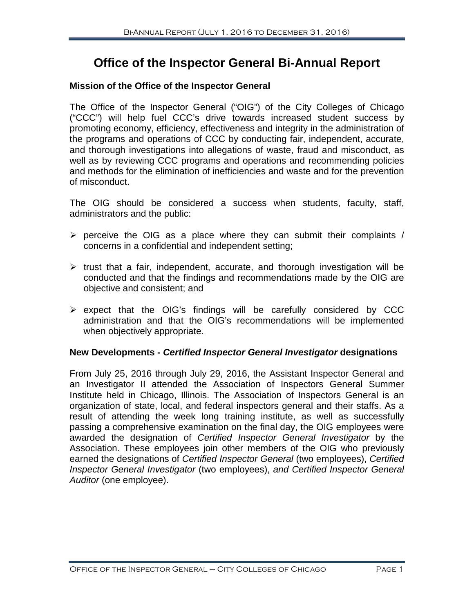# **Office of the Inspector General Bi-Annual Report**

# **Mission of the Office of the Inspector General**

The Office of the Inspector General ("OIG") of the City Colleges of Chicago ("CCC") will help fuel CCC's drive towards increased student success by promoting economy, efficiency, effectiveness and integrity in the administration of the programs and operations of CCC by conducting fair, independent, accurate, and thorough investigations into allegations of waste, fraud and misconduct, as well as by reviewing CCC programs and operations and recommending policies and methods for the elimination of inefficiencies and waste and for the prevention of misconduct.

The OIG should be considered a success when students, faculty, staff, administrators and the public:

- $\triangleright$  perceive the OIG as a place where they can submit their complaints / concerns in a confidential and independent setting;
- $\triangleright$  trust that a fair, independent, accurate, and thorough investigation will be conducted and that the findings and recommendations made by the OIG are objective and consistent; and
- $\triangleright$  expect that the OIG's findings will be carefully considered by CCC administration and that the OIG's recommendations will be implemented when objectively appropriate.

# **New Developments -** *Certified Inspector General Investigator* **designations**

From July 25, 2016 through July 29, 2016, the Assistant Inspector General and an Investigator II attended the Association of Inspectors General Summer Institute held in Chicago, Illinois. The Association of Inspectors General is an organization of state, local, and federal inspectors general and their staffs. As a result of attending the week long training institute, as well as successfully passing a comprehensive examination on the final day, the OIG employees were awarded the designation of *Certified Inspector General Investigator* by the Association. These employees join other members of the OIG who previously earned the designations of *Certified Inspector General* (two employees), *Certified Inspector General Investigator* (two employees), *and Certified Inspector General Auditor* (one employee).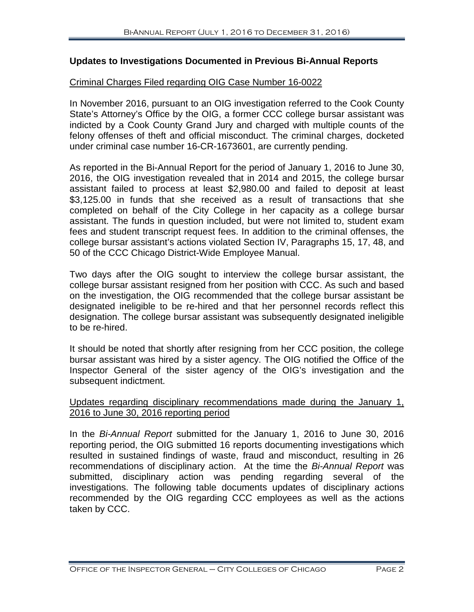# **Updates to Investigations Documented in Previous Bi-Annual Reports**

#### Criminal Charges Filed regarding OIG Case Number 16-0022

In November 2016, pursuant to an OIG investigation referred to the Cook County State's Attorney's Office by the OIG, a former CCC college bursar assistant was indicted by a Cook County Grand Jury and charged with multiple counts of the felony offenses of theft and official misconduct. The criminal charges, docketed under criminal case number 16-CR-1673601, are currently pending.

As reported in the Bi-Annual Report for the period of January 1, 2016 to June 30, 2016, the OIG investigation revealed that in 2014 and 2015, the college bursar assistant failed to process at least \$2,980.00 and failed to deposit at least \$3,125.00 in funds that she received as a result of transactions that she completed on behalf of the City College in her capacity as a college bursar assistant. The funds in question included, but were not limited to, student exam fees and student transcript request fees. In addition to the criminal offenses, the college bursar assistant's actions violated Section IV, Paragraphs 15, 17, 48, and 50 of the CCC Chicago District-Wide Employee Manual.

Two days after the OIG sought to interview the college bursar assistant, the college bursar assistant resigned from her position with CCC. As such and based on the investigation, the OIG recommended that the college bursar assistant be designated ineligible to be re-hired and that her personnel records reflect this designation. The college bursar assistant was subsequently designated ineligible to be re-hired.

It should be noted that shortly after resigning from her CCC position, the college bursar assistant was hired by a sister agency. The OIG notified the Office of the Inspector General of the sister agency of the OIG's investigation and the subsequent indictment.

#### Updates regarding disciplinary recommendations made during the January 1, 2016 to June 30, 2016 reporting period

In the *Bi-Annual Report* submitted for the January 1, 2016 to June 30, 2016 reporting period, the OIG submitted 16 reports documenting investigations which resulted in sustained findings of waste, fraud and misconduct, resulting in 26 recommendations of disciplinary action. At the time the *Bi-Annual Report* was submitted, disciplinary action was pending regarding several of the investigations. The following table documents updates of disciplinary actions recommended by the OIG regarding CCC employees as well as the actions taken by CCC.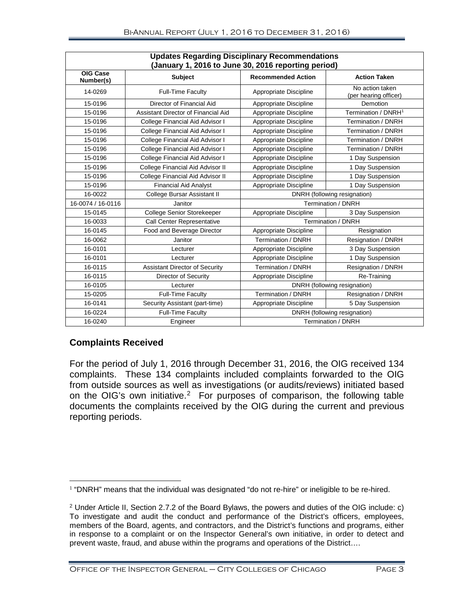| <b>Updates Regarding Disciplinary Recommendations</b><br>(January 1, 2016 to June 30, 2016 reporting period) |                                       |                              |                                          |  |  |  |  |  |
|--------------------------------------------------------------------------------------------------------------|---------------------------------------|------------------------------|------------------------------------------|--|--|--|--|--|
| OIG Case<br>Number(s)                                                                                        | <b>Subject</b>                        | <b>Recommended Action</b>    | <b>Action Taken</b>                      |  |  |  |  |  |
| 14-0269                                                                                                      | <b>Full-Time Faculty</b>              | Appropriate Discipline       | No action taken<br>(per hearing officer) |  |  |  |  |  |
| 15-0196                                                                                                      | Director of Financial Aid             | Appropriate Discipline       | Demotion                                 |  |  |  |  |  |
| 15-0196                                                                                                      | Assistant Director of Financial Aid   | Appropriate Discipline       | Termination / DNRH <sup>1</sup>          |  |  |  |  |  |
| 15-0196                                                                                                      | College Financial Aid Advisor I       | Appropriate Discipline       | Termination / DNRH                       |  |  |  |  |  |
| 15-0196                                                                                                      | College Financial Aid Advisor I       | Appropriate Discipline       | Termination / DNRH                       |  |  |  |  |  |
| 15-0196                                                                                                      | College Financial Aid Advisor I       | Appropriate Discipline       | Termination / DNRH                       |  |  |  |  |  |
| 15-0196                                                                                                      | College Financial Aid Advisor I       | Appropriate Discipline       | Termination / DNRH                       |  |  |  |  |  |
| 15-0196                                                                                                      | College Financial Aid Advisor I       | Appropriate Discipline       | 1 Day Suspension                         |  |  |  |  |  |
| 15-0196                                                                                                      | College Financial Aid Advisor II      | Appropriate Discipline       | 1 Day Suspension                         |  |  |  |  |  |
| 15-0196                                                                                                      | College Financial Aid Advisor II      | Appropriate Discipline       | 1 Day Suspension                         |  |  |  |  |  |
| 15-0196                                                                                                      | <b>Financial Aid Analyst</b>          | Appropriate Discipline       | 1 Day Suspension                         |  |  |  |  |  |
| 16-0022                                                                                                      | College Bursar Assistant II           | DNRH (following resignation) |                                          |  |  |  |  |  |
| 16-0074 / 16-0116                                                                                            | Janitor                               | Termination / DNRH           |                                          |  |  |  |  |  |
| 15-0145                                                                                                      | College Senior Storekeeper            | Appropriate Discipline       | 3 Day Suspension                         |  |  |  |  |  |
| 16-0033                                                                                                      | Call Center Representative            | <b>Termination / DNRH</b>    |                                          |  |  |  |  |  |
| 16-0145                                                                                                      | Food and Beverage Director            | Appropriate Discipline       | Resignation                              |  |  |  |  |  |
| 16-0062                                                                                                      | Janitor                               | Termination / DNRH           | Resignation / DNRH                       |  |  |  |  |  |
| 16-0101                                                                                                      | Lecturer                              | Appropriate Discipline       | 3 Day Suspension                         |  |  |  |  |  |
| 16-0101                                                                                                      | Lecturer                              | Appropriate Discipline       | 1 Day Suspension                         |  |  |  |  |  |
| 16-0115                                                                                                      | <b>Assistant Director of Security</b> | Termination / DNRH           | Resignation / DNRH                       |  |  |  |  |  |
| 16-0115                                                                                                      | Director of Security                  | Appropriate Discipline       | Re-Training                              |  |  |  |  |  |
| 16-0105                                                                                                      | Lecturer                              | DNRH (following resignation) |                                          |  |  |  |  |  |
| 15-0205                                                                                                      | <b>Full-Time Faculty</b>              | Termination / DNRH           | <b>Resignation / DNRH</b>                |  |  |  |  |  |
| 16-0141                                                                                                      | Security Assistant (part-time)        | Appropriate Discipline       | 5 Day Suspension                         |  |  |  |  |  |
| 16-0224                                                                                                      | <b>Full-Time Faculty</b>              | DNRH (following resignation) |                                          |  |  |  |  |  |
| 16-0240                                                                                                      | Engineer                              | Termination / DNRH           |                                          |  |  |  |  |  |

# **Complaints Received**

For the period of July 1, 2016 through December 31, 2016, the OIG received 134 complaints. These 134 complaints included complaints forwarded to the OIG from outside sources as well as investigations (or audits/reviews) initiated based on the OIG's own initiative. [2](#page-4-0) For purposes of comparison, the following table documents the complaints received by the OIG during the current and previous reporting periods.

<span id="page-4-1"></span><sup>&</sup>lt;sup>1</sup> "DNRH" means that the individual was designated "do not re-hire" or ineligible to be re-hired.

<span id="page-4-0"></span><sup>2</sup> Under Article II, Section 2.7.2 of the Board Bylaws, the powers and duties of the OIG include: c) To investigate and audit the conduct and performance of the District's officers, employees, members of the Board, agents, and contractors, and the District's functions and programs, either in response to a complaint or on the Inspector General's own initiative, in order to detect and prevent waste, fraud, and abuse within the programs and operations of the District….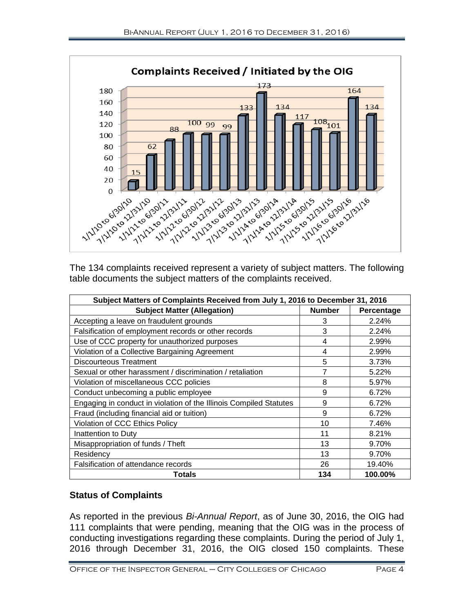

The 134 complaints received represent a variety of subject matters. The following table documents the subject matters of the complaints received.

| Subject Matters of Complaints Received from July 1, 2016 to December 31, 2016 |               |            |  |  |
|-------------------------------------------------------------------------------|---------------|------------|--|--|
| <b>Subject Matter (Allegation)</b>                                            | <b>Number</b> | Percentage |  |  |
| Accepting a leave on fraudulent grounds                                       | 3             | 2.24%      |  |  |
| Falsification of employment records or other records                          | 3             | 2.24%      |  |  |
| Use of CCC property for unauthorized purposes                                 | 4             | 2.99%      |  |  |
| Violation of a Collective Bargaining Agreement                                | 4             | 2.99%      |  |  |
| <b>Discourteous Treatment</b>                                                 | 5             | 3.73%      |  |  |
| Sexual or other harassment / discrimination / retaliation                     | 7             | 5.22%      |  |  |
| Violation of miscellaneous CCC policies                                       | 8             | 5.97%      |  |  |
| Conduct unbecoming a public employee                                          | 9             | 6.72%      |  |  |
| Engaging in conduct in violation of the Illinois Compiled Statutes            | 9             | 6.72%      |  |  |
| Fraud (including financial aid or tuition)                                    | 9             | 6.72%      |  |  |
| Violation of CCC Ethics Policy                                                | 10            | 7.46%      |  |  |
| Inattention to Duty                                                           | 11            | 8.21%      |  |  |
| Misappropriation of funds / Theft                                             | 13            | 9.70%      |  |  |
| Residency                                                                     | 13            | 9.70%      |  |  |
| Falsification of attendance records                                           | 26            | 19.40%     |  |  |
| Totals                                                                        | 134           | 100.00%    |  |  |

# **Status of Complaints**

As reported in the previous *Bi-Annual Report*, as of June 30, 2016, the OIG had 111 complaints that were pending, meaning that the OIG was in the process of conducting investigations regarding these complaints. During the period of July 1, 2016 through December 31, 2016, the OIG closed 150 complaints. These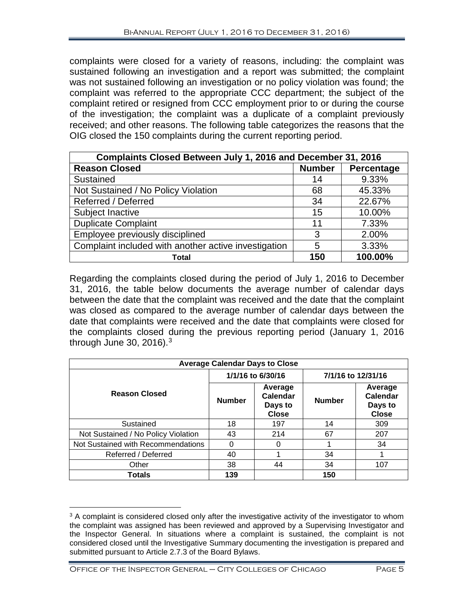complaints were closed for a variety of reasons, including: the complaint was sustained following an investigation and a report was submitted; the complaint was not sustained following an investigation or no policy violation was found; the complaint was referred to the appropriate CCC department; the subject of the complaint retired or resigned from CCC employment prior to or during the course of the investigation; the complaint was a duplicate of a complaint previously received; and other reasons. The following table categorizes the reasons that the OIG closed the 150 complaints during the current reporting period.

| Complaints Closed Between July 1, 2016 and December 31, 2016 |               |            |  |  |  |  |
|--------------------------------------------------------------|---------------|------------|--|--|--|--|
| <b>Reason Closed</b>                                         | <b>Number</b> | Percentage |  |  |  |  |
| Sustained                                                    | 14            | 9.33%      |  |  |  |  |
| Not Sustained / No Policy Violation                          | 68            | 45.33%     |  |  |  |  |
| Referred / Deferred                                          | 34            | 22.67%     |  |  |  |  |
| Subject Inactive                                             | 15            | 10.00%     |  |  |  |  |
| <b>Duplicate Complaint</b>                                   | 11            | 7.33%      |  |  |  |  |
| Employee previously disciplined                              | 3             | 2.00%      |  |  |  |  |
| Complaint included with another active investigation         | 5             | 3.33%      |  |  |  |  |
| Total                                                        | 150           | 100.00%    |  |  |  |  |

Regarding the complaints closed during the period of July 1, 2016 to December 31, 2016, the table below documents the average number of calendar days between the date that the complaint was received and the date that the complaint was closed as compared to the average number of calendar days between the date that complaints were received and the date that complaints were closed for the complaints closed during the previous reporting period (January 1, 2016 through June [3](#page-6-0)0, 2016). $^3$ 

| <b>Average Calendar Days to Close</b> |                   |                                                |                    |                                                |  |  |  |
|---------------------------------------|-------------------|------------------------------------------------|--------------------|------------------------------------------------|--|--|--|
|                                       | 1/1/16 to 6/30/16 |                                                | 7/1/16 to 12/31/16 |                                                |  |  |  |
| <b>Reason Closed</b>                  | <b>Number</b>     | Average<br>Calendar<br>Days to<br><b>Close</b> | <b>Number</b>      | Average<br>Calendar<br>Days to<br><b>Close</b> |  |  |  |
| Sustained                             | 18                | 197                                            | 14                 | 309                                            |  |  |  |
| Not Sustained / No Policy Violation   | 43                | 214                                            | 67                 | 207                                            |  |  |  |
| Not Sustained with Recommendations    | ი                 | 0                                              |                    | 34                                             |  |  |  |
| Referred / Deferred                   | 40                |                                                | 34                 |                                                |  |  |  |
| Other                                 | 38                | 44                                             | 34                 | 107                                            |  |  |  |
| <b>Totals</b>                         | 139               |                                                | 150                |                                                |  |  |  |

<span id="page-6-0"></span> $\overline{a}$ <sup>3</sup> A complaint is considered closed only after the investigative activity of the investigator to whom the complaint was assigned has been reviewed and approved by a Supervising Investigator and the Inspector General. In situations where a complaint is sustained, the complaint is not considered closed until the Investigative Summary documenting the investigation is prepared and submitted pursuant to Article 2.7.3 of the Board Bylaws.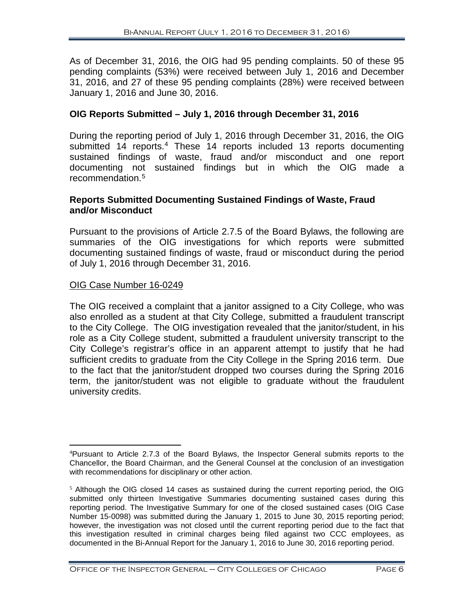As of December 31, 2016, the OIG had 95 pending complaints. 50 of these 95 pending complaints (53%) were received between July 1, 2016 and December 31, 2016, and 27 of these 95 pending complaints (28%) were received between January 1, 2016 and June 30, 2016.

# **OIG Reports Submitted – July 1, 2016 through December 31, 2016**

During the reporting period of July 1, 2016 through December 31, 2016, the OIG submitted 1[4](#page-7-0) reports.<sup>4</sup> These 14 reports included 13 reports documenting sustained findings of waste, fraud and/or misconduct and one report documenting not sustained findings but in which the OIG made a recommendation. [5](#page-7-1)

# **Reports Submitted Documenting Sustained Findings of Waste, Fraud and/or Misconduct**

Pursuant to the provisions of Article 2.7.5 of the Board Bylaws, the following are summaries of the OIG investigations for which reports were submitted documenting sustained findings of waste, fraud or misconduct during the period of July 1, 2016 through December 31, 2016.

#### OIG Case Number 16-0249

The OIG received a complaint that a janitor assigned to a City College, who was also enrolled as a student at that City College, submitted a fraudulent transcript to the City College. The OIG investigation revealed that the janitor/student, in his role as a City College student, submitted a fraudulent university transcript to the City College's registrar's office in an apparent attempt to justify that he had sufficient credits to graduate from the City College in the Spring 2016 term. Due to the fact that the janitor/student dropped two courses during the Spring 2016 term, the janitor/student was not eligible to graduate without the fraudulent university credits.

<span id="page-7-0"></span> $\frac{1}{4}$ Pursuant to Article 2.7.3 of the Board Bylaws, the Inspector General submits reports to the Chancellor, the Board Chairman, and the General Counsel at the conclusion of an investigation with recommendations for disciplinary or other action.

<span id="page-7-1"></span> $5$  Although the OIG closed 14 cases as sustained during the current reporting period, the OIG submitted only thirteen Investigative Summaries documenting sustained cases during this reporting period. The Investigative Summary for one of the closed sustained cases (OIG Case Number 15-0098) was submitted during the January 1, 2015 to June 30, 2015 reporting period; however, the investigation was not closed until the current reporting period due to the fact that this investigation resulted in criminal charges being filed against two CCC employees, as documented in the Bi-Annual Report for the January 1, 2016 to June 30, 2016 reporting period.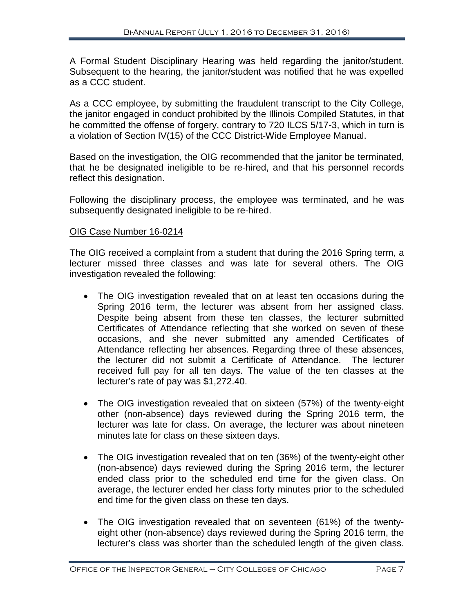A Formal Student Disciplinary Hearing was held regarding the janitor/student. Subsequent to the hearing, the janitor/student was notified that he was expelled as a CCC student.

As a CCC employee, by submitting the fraudulent transcript to the City College, the janitor engaged in conduct prohibited by the Illinois Compiled Statutes, in that he committed the offense of forgery, contrary to 720 ILCS 5/17-3, which in turn is a violation of Section IV(15) of the CCC District-Wide Employee Manual.

Based on the investigation, the OIG recommended that the janitor be terminated, that he be designated ineligible to be re-hired, and that his personnel records reflect this designation.

Following the disciplinary process, the employee was terminated, and he was subsequently designated ineligible to be re-hired.

# OIG Case Number 16-0214

The OIG received a complaint from a student that during the 2016 Spring term, a lecturer missed three classes and was late for several others. The OIG investigation revealed the following:

- The OIG investigation revealed that on at least ten occasions during the Spring 2016 term, the lecturer was absent from her assigned class. Despite being absent from these ten classes, the lecturer submitted Certificates of Attendance reflecting that she worked on seven of these occasions, and she never submitted any amended Certificates of Attendance reflecting her absences. Regarding three of these absences, the lecturer did not submit a Certificate of Attendance. The lecturer received full pay for all ten days. The value of the ten classes at the lecturer's rate of pay was \$1,272.40.
- The OIG investigation revealed that on sixteen (57%) of the twenty-eight other (non-absence) days reviewed during the Spring 2016 term, the lecturer was late for class. On average, the lecturer was about nineteen minutes late for class on these sixteen days.
- The OIG investigation revealed that on ten (36%) of the twenty-eight other (non-absence) days reviewed during the Spring 2016 term, the lecturer ended class prior to the scheduled end time for the given class. On average, the lecturer ended her class forty minutes prior to the scheduled end time for the given class on these ten days.
- The OIG investigation revealed that on seventeen (61%) of the twentyeight other (non-absence) days reviewed during the Spring 2016 term, the lecturer's class was shorter than the scheduled length of the given class.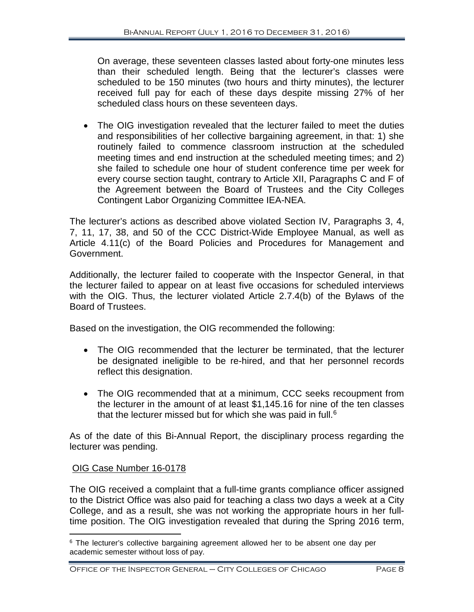On average, these seventeen classes lasted about forty-one minutes less than their scheduled length. Being that the lecturer's classes were scheduled to be 150 minutes (two hours and thirty minutes), the lecturer received full pay for each of these days despite missing 27% of her scheduled class hours on these seventeen days.

• The OIG investigation revealed that the lecturer failed to meet the duties and responsibilities of her collective bargaining agreement, in that: 1) she routinely failed to commence classroom instruction at the scheduled meeting times and end instruction at the scheduled meeting times; and 2) she failed to schedule one hour of student conference time per week for every course section taught, contrary to Article XII, Paragraphs C and F of the Agreement between the Board of Trustees and the City Colleges Contingent Labor Organizing Committee IEA-NEA.

The lecturer's actions as described above violated Section IV, Paragraphs 3, 4, 7, 11, 17, 38, and 50 of the CCC District-Wide Employee Manual, as well as Article 4.11(c) of the Board Policies and Procedures for Management and Government.

Additionally, the lecturer failed to cooperate with the Inspector General, in that the lecturer failed to appear on at least five occasions for scheduled interviews with the OIG. Thus, the lecturer violated Article 2.7.4(b) of the Bylaws of the Board of Trustees.

Based on the investigation, the OIG recommended the following:

- The OIG recommended that the lecturer be terminated, that the lecturer be designated ineligible to be re-hired, and that her personnel records reflect this designation.
- The OIG recommended that at a minimum, CCC seeks recoupment from the lecturer in the amount of at least \$1,145.16 for nine of the ten classes that the lecturer missed but for which she was paid in full.<sup>[6](#page-9-0)</sup>

As of the date of this Bi-Annual Report, the disciplinary process regarding the lecturer was pending.

# OIG Case Number 16-0178

The OIG received a complaint that a full-time grants compliance officer assigned to the District Office was also paid for teaching a class two days a week at a City College, and as a result, she was not working the appropriate hours in her fulltime position. The OIG investigation revealed that during the Spring 2016 term,

<span id="page-9-0"></span> $\overline{a}$ <sup>6</sup> The lecturer's collective bargaining agreement allowed her to be absent one day per academic semester without loss of pay.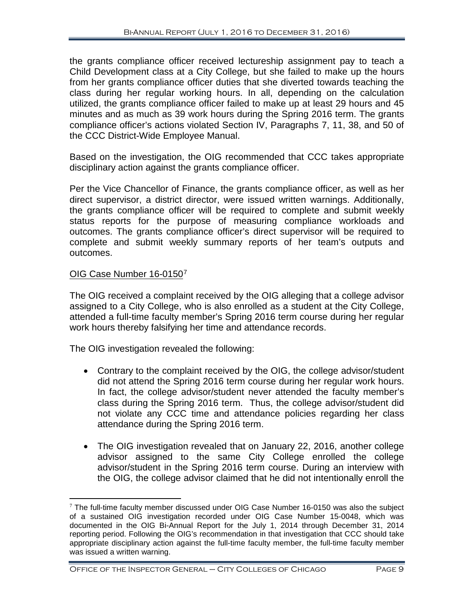the grants compliance officer received lectureship assignment pay to teach a Child Development class at a City College, but she failed to make up the hours from her grants compliance officer duties that she diverted towards teaching the class during her regular working hours. In all, depending on the calculation utilized, the grants compliance officer failed to make up at least 29 hours and 45 minutes and as much as 39 work hours during the Spring 2016 term. The grants compliance officer's actions violated Section IV, Paragraphs 7, 11, 38, and 50 of the CCC District-Wide Employee Manual.

Based on the investigation, the OIG recommended that CCC takes appropriate disciplinary action against the grants compliance officer.

Per the Vice Chancellor of Finance, the grants compliance officer, as well as her direct supervisor, a district director, were issued written warnings. Additionally, the grants compliance officer will be required to complete and submit weekly status reports for the purpose of measuring compliance workloads and outcomes. The grants compliance officer's direct supervisor will be required to complete and submit weekly summary reports of her team's outputs and outcomes.

# OIG Case Number 16-0150[7](#page-10-0)

The OIG received a complaint received by the OIG alleging that a college advisor assigned to a City College, who is also enrolled as a student at the City College, attended a full-time faculty member's Spring 2016 term course during her regular work hours thereby falsifying her time and attendance records.

The OIG investigation revealed the following:

- Contrary to the complaint received by the OIG, the college advisor/student did not attend the Spring 2016 term course during her regular work hours. In fact, the college advisor/student never attended the faculty member's class during the Spring 2016 term. Thus, the college advisor/student did not violate any CCC time and attendance policies regarding her class attendance during the Spring 2016 term.
- The OIG investigation revealed that on January 22, 2016, another college advisor assigned to the same City College enrolled the college advisor/student in the Spring 2016 term course. During an interview with the OIG, the college advisor claimed that he did not intentionally enroll the

<span id="page-10-0"></span> $7$  The full-time faculty member discussed under OIG Case Number 16-0150 was also the subject of a sustained OIG investigation recorded under OIG Case Number 15-0048, which was documented in the OIG Bi-Annual Report for the July 1, 2014 through December 31, 2014 reporting period. Following the OIG's recommendation in that investigation that CCC should take appropriate disciplinary action against the full-time faculty member, the full-time faculty member was issued a written warning.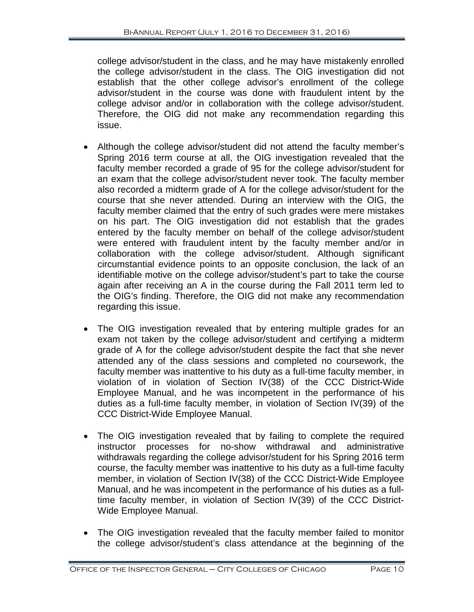college advisor/student in the class, and he may have mistakenly enrolled the college advisor/student in the class. The OIG investigation did not establish that the other college advisor's enrollment of the college advisor/student in the course was done with fraudulent intent by the college advisor and/or in collaboration with the college advisor/student. Therefore, the OIG did not make any recommendation regarding this issue.

- Although the college advisor/student did not attend the faculty member's Spring 2016 term course at all, the OIG investigation revealed that the faculty member recorded a grade of 95 for the college advisor/student for an exam that the college advisor/student never took. The faculty member also recorded a midterm grade of A for the college advisor/student for the course that she never attended. During an interview with the OIG, the faculty member claimed that the entry of such grades were mere mistakes on his part. The OIG investigation did not establish that the grades entered by the faculty member on behalf of the college advisor/student were entered with fraudulent intent by the faculty member and/or in collaboration with the college advisor/student. Although significant circumstantial evidence points to an opposite conclusion, the lack of an identifiable motive on the college advisor/student's part to take the course again after receiving an A in the course during the Fall 2011 term led to the OIG's finding. Therefore, the OIG did not make any recommendation regarding this issue.
- The OIG investigation revealed that by entering multiple grades for an exam not taken by the college advisor/student and certifying a midterm grade of A for the college advisor/student despite the fact that she never attended any of the class sessions and completed no coursework, the faculty member was inattentive to his duty as a full-time faculty member, in violation of in violation of Section IV(38) of the CCC District-Wide Employee Manual, and he was incompetent in the performance of his duties as a full-time faculty member, in violation of Section IV(39) of the CCC District-Wide Employee Manual.
- The OIG investigation revealed that by failing to complete the required instructor processes for no-show withdrawal and administrative withdrawals regarding the college advisor/student for his Spring 2016 term course, the faculty member was inattentive to his duty as a full-time faculty member, in violation of Section IV(38) of the CCC District-Wide Employee Manual, and he was incompetent in the performance of his duties as a fulltime faculty member, in violation of Section IV(39) of the CCC District-Wide Employee Manual.
- The OIG investigation revealed that the faculty member failed to monitor the college advisor/student's class attendance at the beginning of the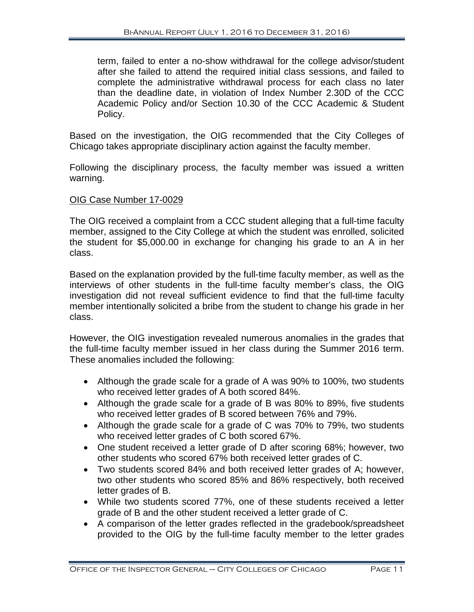term, failed to enter a no-show withdrawal for the college advisor/student after she failed to attend the required initial class sessions, and failed to complete the administrative withdrawal process for each class no later than the deadline date, in violation of Index Number 2.30D of the CCC Academic Policy and/or Section 10.30 of the CCC Academic & Student Policy.

Based on the investigation, the OIG recommended that the City Colleges of Chicago takes appropriate disciplinary action against the faculty member.

Following the disciplinary process, the faculty member was issued a written warning.

# OIG Case Number 17-0029

The OIG received a complaint from a CCC student alleging that a full-time faculty member, assigned to the City College at which the student was enrolled, solicited the student for \$5,000.00 in exchange for changing his grade to an A in her class.

Based on the explanation provided by the full-time faculty member, as well as the interviews of other students in the full-time faculty member's class, the OIG investigation did not reveal sufficient evidence to find that the full-time faculty member intentionally solicited a bribe from the student to change his grade in her class.

However, the OIG investigation revealed numerous anomalies in the grades that the full-time faculty member issued in her class during the Summer 2016 term. These anomalies included the following:

- Although the grade scale for a grade of A was 90% to 100%, two students who received letter grades of A both scored 84%.
- Although the grade scale for a grade of B was 80% to 89%, five students who received letter grades of B scored between 76% and 79%.
- Although the grade scale for a grade of C was 70% to 79%, two students who received letter grades of C both scored 67%.
- One student received a letter grade of D after scoring 68%; however, two other students who scored 67% both received letter grades of C.
- Two students scored 84% and both received letter grades of A; however, two other students who scored 85% and 86% respectively, both received letter grades of B.
- While two students scored 77%, one of these students received a letter grade of B and the other student received a letter grade of C.
- A comparison of the letter grades reflected in the gradebook/spreadsheet provided to the OIG by the full-time faculty member to the letter grades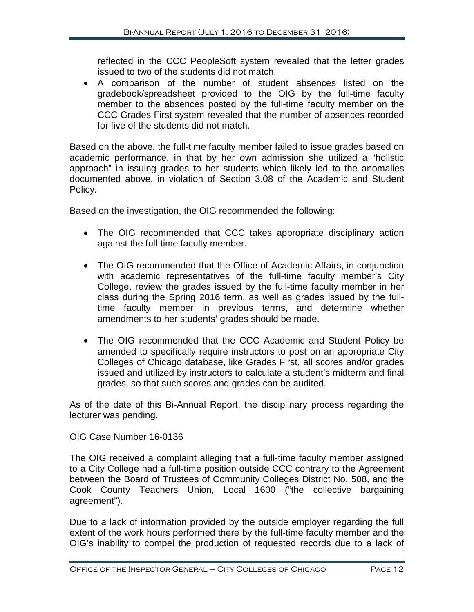reflected in the CCC PeopleSoft system revealed that the letter grades issued to two of the students did not match.

• A comparison of the number of student absences listed on the gradebook/spreadsheet provided to the OIG by the full-time faculty member to the absences posted by the full-time faculty member on the CCC Grades First system revealed that the number of absences recorded for five of the students did not match.

Based on the above, the full-time faculty member failed to issue grades based on academic performance, in that by her own admission she utilized a "holistic approach" in issuing grades to her students which likely led to the anomalies documented above, in violation of Section 3.08 of the Academic and Student Policy.

Based on the investigation, the OIG recommended the following:

- The OIG recommended that CCC takes appropriate disciplinary action against the full-time faculty member.
- The OIG recommended that the Office of Academic Affairs, in conjunction with academic representatives of the full-time faculty member's City College, review the grades issued by the full-time faculty member in her class during the Spring 2016 term, as well as grades issued by the fulltime faculty member in previous terms, and determine whether amendments to her students' grades should be made.
- The OIG recommended that the CCC Academic and Student Policy be amended to specifically require instructors to post on an appropriate City Colleges of Chicago database, like Grades First, all scores and/or grades issued and utilized by instructors to calculate a student's midterm and final grades, so that such scores and grades can be audited.

As of the date of this Bi-Annual Report, the disciplinary process regarding the lecturer was pending.

# OIG Case Number 16-0136

The OIG received a complaint alleging that a full-time faculty member assigned to a City College had a full-time position outside CCC contrary to the Agreement between the Board of Trustees of Community Colleges District No. 508, and the Cook County Teachers Union, Local 1600 ("the collective bargaining agreement").

Due to a lack of information provided by the outside employer regarding the full extent of the work hours performed there by the full-time faculty member and the OIG's inability to compel the production of requested records due to a lack of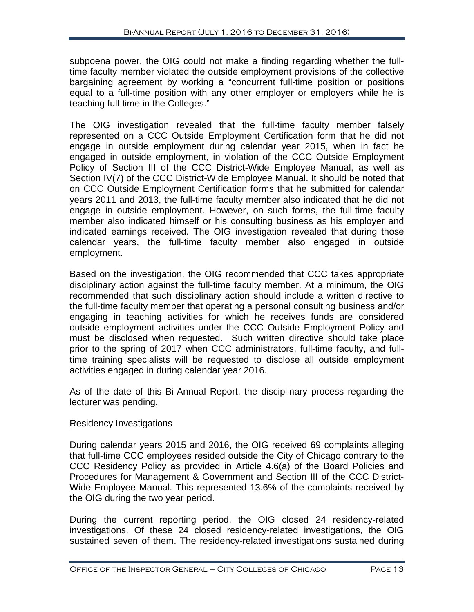subpoena power, the OIG could not make a finding regarding whether the fulltime faculty member violated the outside employment provisions of the collective bargaining agreement by working a "concurrent full-time position or positions equal to a full-time position with any other employer or employers while he is teaching full-time in the Colleges."

The OIG investigation revealed that the full-time faculty member falsely represented on a CCC Outside Employment Certification form that he did not engage in outside employment during calendar year 2015, when in fact he engaged in outside employment, in violation of the CCC Outside Employment Policy of Section III of the CCC District-Wide Employee Manual, as well as Section IV(7) of the CCC District-Wide Employee Manual. It should be noted that on CCC Outside Employment Certification forms that he submitted for calendar years 2011 and 2013, the full-time faculty member also indicated that he did not engage in outside employment. However, on such forms, the full-time faculty member also indicated himself or his consulting business as his employer and indicated earnings received. The OIG investigation revealed that during those calendar years, the full-time faculty member also engaged in outside employment.

Based on the investigation, the OIG recommended that CCC takes appropriate disciplinary action against the full-time faculty member. At a minimum, the OIG recommended that such disciplinary action should include a written directive to the full-time faculty member that operating a personal consulting business and/or engaging in teaching activities for which he receives funds are considered outside employment activities under the CCC Outside Employment Policy and must be disclosed when requested. Such written directive should take place prior to the spring of 2017 when CCC administrators, full-time faculty, and fulltime training specialists will be requested to disclose all outside employment activities engaged in during calendar year 2016.

As of the date of this Bi-Annual Report, the disciplinary process regarding the lecturer was pending.

# Residency Investigations

During calendar years 2015 and 2016, the OIG received 69 complaints alleging that full-time CCC employees resided outside the City of Chicago contrary to the CCC Residency Policy as provided in Article 4.6(a) of the Board Policies and Procedures for Management & Government and Section III of the CCC District-Wide Employee Manual. This represented 13.6% of the complaints received by the OIG during the two year period.

During the current reporting period, the OIG closed 24 residency-related investigations. Of these 24 closed residency-related investigations, the OIG sustained seven of them. The residency-related investigations sustained during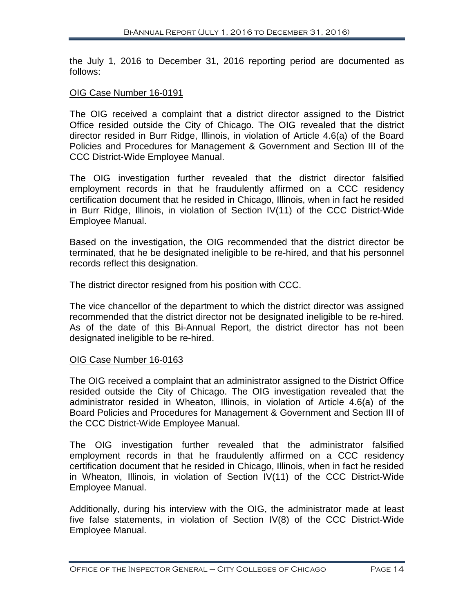the July 1, 2016 to December 31, 2016 reporting period are documented as follows:

#### OIG Case Number 16-0191

The OIG received a complaint that a district director assigned to the District Office resided outside the City of Chicago. The OIG revealed that the district director resided in Burr Ridge, Illinois, in violation of Article 4.6(a) of the Board Policies and Procedures for Management & Government and Section III of the CCC District-Wide Employee Manual.

The OIG investigation further revealed that the district director falsified employment records in that he fraudulently affirmed on a CCC residency certification document that he resided in Chicago, Illinois, when in fact he resided in Burr Ridge, Illinois, in violation of Section IV(11) of the CCC District-Wide Employee Manual.

Based on the investigation, the OIG recommended that the district director be terminated, that he be designated ineligible to be re-hired, and that his personnel records reflect this designation.

The district director resigned from his position with CCC.

The vice chancellor of the department to which the district director was assigned recommended that the district director not be designated ineligible to be re-hired. As of the date of this Bi-Annual Report, the district director has not been designated ineligible to be re-hired.

#### OIG Case Number 16-0163

The OIG received a complaint that an administrator assigned to the District Office resided outside the City of Chicago. The OIG investigation revealed that the administrator resided in Wheaton, Illinois, in violation of Article 4.6(a) of the Board Policies and Procedures for Management & Government and Section III of the CCC District-Wide Employee Manual.

The OIG investigation further revealed that the administrator falsified employment records in that he fraudulently affirmed on a CCC residency certification document that he resided in Chicago, Illinois, when in fact he resided in Wheaton, Illinois, in violation of Section IV(11) of the CCC District-Wide Employee Manual.

Additionally, during his interview with the OIG, the administrator made at least five false statements, in violation of Section IV(8) of the CCC District-Wide Employee Manual.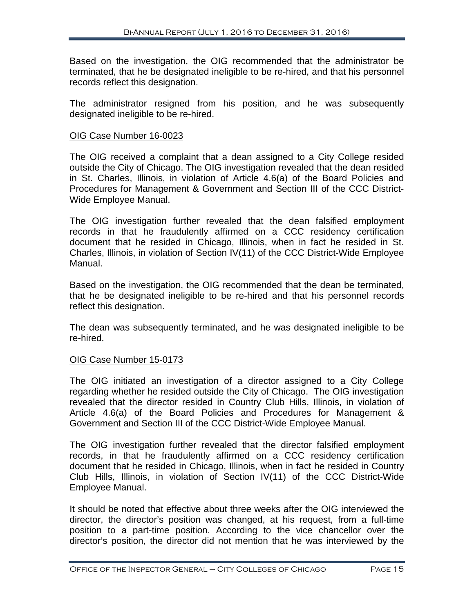Based on the investigation, the OIG recommended that the administrator be terminated, that he be designated ineligible to be re-hired, and that his personnel records reflect this designation.

The administrator resigned from his position, and he was subsequently designated ineligible to be re-hired.

#### OIG Case Number 16-0023

The OIG received a complaint that a dean assigned to a City College resided outside the City of Chicago. The OIG investigation revealed that the dean resided in St. Charles, Illinois, in violation of Article 4.6(a) of the Board Policies and Procedures for Management & Government and Section III of the CCC District-Wide Employee Manual.

The OIG investigation further revealed that the dean falsified employment records in that he fraudulently affirmed on a CCC residency certification document that he resided in Chicago, Illinois, when in fact he resided in St. Charles, Illinois, in violation of Section IV(11) of the CCC District-Wide Employee Manual.

Based on the investigation, the OIG recommended that the dean be terminated, that he be designated ineligible to be re-hired and that his personnel records reflect this designation.

The dean was subsequently terminated, and he was designated ineligible to be re-hired.

# OIG Case Number 15-0173

The OIG initiated an investigation of a director assigned to a City College regarding whether he resided outside the City of Chicago. The OIG investigation revealed that the director resided in Country Club Hills, Illinois, in violation of Article 4.6(a) of the Board Policies and Procedures for Management & Government and Section III of the CCC District-Wide Employee Manual.

The OIG investigation further revealed that the director falsified employment records, in that he fraudulently affirmed on a CCC residency certification document that he resided in Chicago, Illinois, when in fact he resided in Country Club Hills, Illinois, in violation of Section IV(11) of the CCC District-Wide Employee Manual.

It should be noted that effective about three weeks after the OIG interviewed the director, the director's position was changed, at his request, from a full-time position to a part-time position. According to the vice chancellor over the director's position, the director did not mention that he was interviewed by the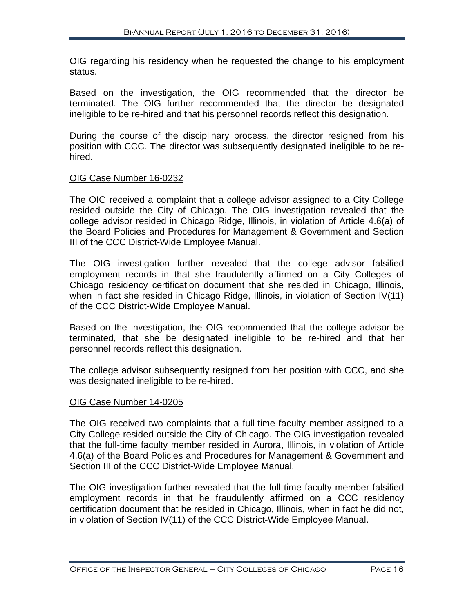OIG regarding his residency when he requested the change to his employment status.

Based on the investigation, the OIG recommended that the director be terminated. The OIG further recommended that the director be designated ineligible to be re-hired and that his personnel records reflect this designation.

During the course of the disciplinary process, the director resigned from his position with CCC. The director was subsequently designated ineligible to be rehired.

# OIG Case Number 16-0232

The OIG received a complaint that a college advisor assigned to a City College resided outside the City of Chicago. The OIG investigation revealed that the college advisor resided in Chicago Ridge, Illinois, in violation of Article 4.6(a) of the Board Policies and Procedures for Management & Government and Section III of the CCC District-Wide Employee Manual.

The OIG investigation further revealed that the college advisor falsified employment records in that she fraudulently affirmed on a City Colleges of Chicago residency certification document that she resided in Chicago, Illinois, when in fact she resided in Chicago Ridge, Illinois, in violation of Section IV(11) of the CCC District-Wide Employee Manual.

Based on the investigation, the OIG recommended that the college advisor be terminated, that she be designated ineligible to be re-hired and that her personnel records reflect this designation.

The college advisor subsequently resigned from her position with CCC, and she was designated ineligible to be re-hired.

# OIG Case Number 14-0205

The OIG received two complaints that a full-time faculty member assigned to a City College resided outside the City of Chicago. The OIG investigation revealed that the full-time faculty member resided in Aurora, Illinois, in violation of Article 4.6(a) of the Board Policies and Procedures for Management & Government and Section III of the CCC District-Wide Employee Manual.

The OIG investigation further revealed that the full-time faculty member falsified employment records in that he fraudulently affirmed on a CCC residency certification document that he resided in Chicago, Illinois, when in fact he did not, in violation of Section IV(11) of the CCC District-Wide Employee Manual.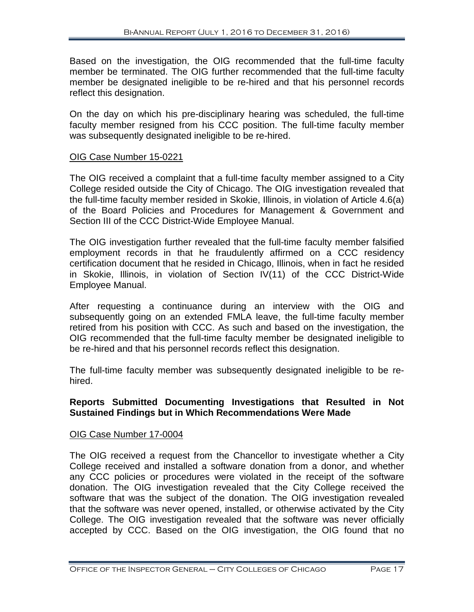Based on the investigation, the OIG recommended that the full-time faculty member be terminated. The OIG further recommended that the full-time faculty member be designated ineligible to be re-hired and that his personnel records reflect this designation.

On the day on which his pre-disciplinary hearing was scheduled, the full-time faculty member resigned from his CCC position. The full-time faculty member was subsequently designated ineligible to be re-hired.

# OIG Case Number 15-0221

The OIG received a complaint that a full-time faculty member assigned to a City College resided outside the City of Chicago. The OIG investigation revealed that the full-time faculty member resided in Skokie, Illinois, in violation of Article 4.6(a) of the Board Policies and Procedures for Management & Government and Section III of the CCC District-Wide Employee Manual.

The OIG investigation further revealed that the full-time faculty member falsified employment records in that he fraudulently affirmed on a CCC residency certification document that he resided in Chicago, Illinois, when in fact he resided in Skokie, Illinois, in violation of Section IV(11) of the CCC District-Wide Employee Manual.

After requesting a continuance during an interview with the OIG and subsequently going on an extended FMLA leave, the full-time faculty member retired from his position with CCC. As such and based on the investigation, the OIG recommended that the full-time faculty member be designated ineligible to be re-hired and that his personnel records reflect this designation.

The full-time faculty member was subsequently designated ineligible to be rehired.

# **Reports Submitted Documenting Investigations that Resulted in Not Sustained Findings but in Which Recommendations Were Made**

#### OIG Case Number 17-0004

The OIG received a request from the Chancellor to investigate whether a City College received and installed a software donation from a donor, and whether any CCC policies or procedures were violated in the receipt of the software donation. The OIG investigation revealed that the City College received the software that was the subject of the donation. The OIG investigation revealed that the software was never opened, installed, or otherwise activated by the City College. The OIG investigation revealed that the software was never officially accepted by CCC. Based on the OIG investigation, the OIG found that no